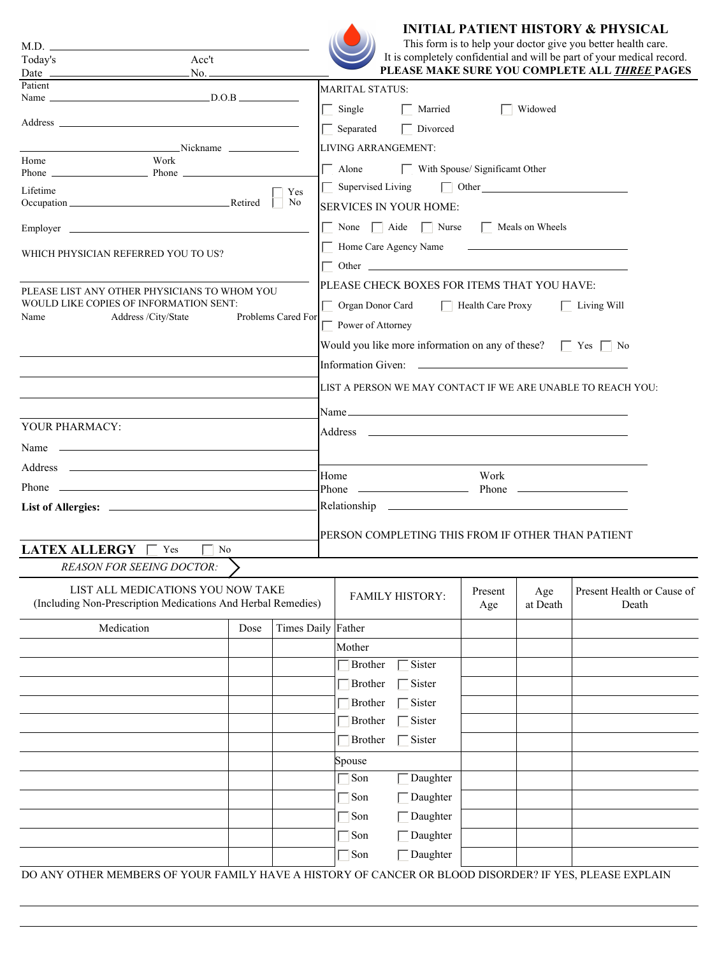

M.D.

 $\overline{a}$ Acc't **INITIAL PATIENT HISTORY & PHYSICAL** 

| This form is to help your doctor give you better health care.          |
|------------------------------------------------------------------------|
| It is completely confidential and will be part of your medical record. |
| PLEASE MAKE SURE YOU COMPLETE ALL THREE PAGES                          |

| Today's<br>Acc't<br>No. <sub>—</sub><br>Date $\frac{1}{\sqrt{1-\frac{1}{2}} \cdot \frac{1}{2} \cdot \frac{1}{2} \cdot \frac{1}{2} \cdot \frac{1}{2} \cdot \frac{1}{2} \cdot \frac{1}{2} \cdot \frac{1}{2} \cdot \frac{1}{2} \cdot \frac{1}{2} \cdot \frac{1}{2} \cdot \frac{1}{2} \cdot \frac{1}{2} \cdot \frac{1}{2} \cdot \frac{1}{2} \cdot \frac{1}{2} \cdot \frac{1}{2} \cdot \frac{1}{2} \cdot \frac{1}{2} \cdot \frac{1}{2} \cdot \frac{1}{2} \cdot \frac{1}{2} \cdot \frac{1}{2} \$ |      |                    |                                                                                                                                                                                                                                |                |                 | It is completely confidential and will be part of your medical record.<br>PLEASE MAKE SURE YOU COMPLETE ALL THREE PAGES |  |  |
|--------------------------------------------------------------------------------------------------------------------------------------------------------------------------------------------------------------------------------------------------------------------------------------------------------------------------------------------------------------------------------------------------------------------------------------------------------------------------------------------|------|--------------------|--------------------------------------------------------------------------------------------------------------------------------------------------------------------------------------------------------------------------------|----------------|-----------------|-------------------------------------------------------------------------------------------------------------------------|--|--|
| Patient                                                                                                                                                                                                                                                                                                                                                                                                                                                                                    |      |                    | MARITAL STATUS:                                                                                                                                                                                                                |                |                 |                                                                                                                         |  |  |
| Name $D.O.B$                                                                                                                                                                                                                                                                                                                                                                                                                                                                               |      |                    | $\Box$ Single<br>$\Box$ Married                                                                                                                                                                                                |                | Widowed         |                                                                                                                         |  |  |
|                                                                                                                                                                                                                                                                                                                                                                                                                                                                                            |      |                    |                                                                                                                                                                                                                                |                |                 |                                                                                                                         |  |  |
|                                                                                                                                                                                                                                                                                                                                                                                                                                                                                            |      |                    | $\Box$ Divorced<br>$\Box$ Separated                                                                                                                                                                                            |                |                 |                                                                                                                         |  |  |
| Nickname Nichame<br>Home<br>Work                                                                                                                                                                                                                                                                                                                                                                                                                                                           |      |                    | LIVING ARRANGEMENT:                                                                                                                                                                                                            |                |                 |                                                                                                                         |  |  |
| Phone Phone Phone                                                                                                                                                                                                                                                                                                                                                                                                                                                                          |      |                    | $\Box$ Alone $\Box$ With Spouse/ Significant Other                                                                                                                                                                             |                |                 |                                                                                                                         |  |  |
| Lifetime                                                                                                                                                                                                                                                                                                                                                                                                                                                                                   |      | Yes                | $\Box$ Supervised Living<br>$\Box$ Other                                                                                                                                                                                       |                |                 |                                                                                                                         |  |  |
| No<br>Occupation Retired                                                                                                                                                                                                                                                                                                                                                                                                                                                                   |      |                    | <b>SERVICES IN YOUR HOME:</b>                                                                                                                                                                                                  |                |                 |                                                                                                                         |  |  |
|                                                                                                                                                                                                                                                                                                                                                                                                                                                                                            |      |                    | $\Box$ None $\Box$ Aide $\Box$ Nurse $\Box$ Meals on Wheels                                                                                                                                                                    |                |                 |                                                                                                                         |  |  |
| WHICH PHYSICIAN REFERRED YOU TO US?                                                                                                                                                                                                                                                                                                                                                                                                                                                        |      |                    |                                                                                                                                                                                                                                |                |                 |                                                                                                                         |  |  |
|                                                                                                                                                                                                                                                                                                                                                                                                                                                                                            |      |                    |                                                                                                                                                                                                                                |                |                 |                                                                                                                         |  |  |
| PLEASE LIST ANY OTHER PHYSICIANS TO WHOM YOU                                                                                                                                                                                                                                                                                                                                                                                                                                               |      |                    | PLEASE CHECK BOXES FOR ITEMS THAT YOU HAVE:                                                                                                                                                                                    |                |                 |                                                                                                                         |  |  |
| WOULD LIKE COPIES OF INFORMATION SENT:<br>Address /City/State<br>Name                                                                                                                                                                                                                                                                                                                                                                                                                      |      | Problems Cared For | □ Organ Donor Card □ 日 Health Care Proxy                                                                                                                                                                                       |                |                 | $\Box$ Living Will                                                                                                      |  |  |
|                                                                                                                                                                                                                                                                                                                                                                                                                                                                                            |      |                    | Power of Attorney                                                                                                                                                                                                              |                |                 |                                                                                                                         |  |  |
|                                                                                                                                                                                                                                                                                                                                                                                                                                                                                            |      |                    | Would you like more information on any of these? $\Box$ Yes $\Box$ No                                                                                                                                                          |                |                 |                                                                                                                         |  |  |
|                                                                                                                                                                                                                                                                                                                                                                                                                                                                                            |      |                    |                                                                                                                                                                                                                                |                |                 |                                                                                                                         |  |  |
|                                                                                                                                                                                                                                                                                                                                                                                                                                                                                            |      |                    | LIST A PERSON WE MAY CONTACT IF WE ARE UNABLE TO REACH YOU:                                                                                                                                                                    |                |                 |                                                                                                                         |  |  |
|                                                                                                                                                                                                                                                                                                                                                                                                                                                                                            |      |                    |                                                                                                                                                                                                                                |                |                 |                                                                                                                         |  |  |
| YOUR PHARMACY:                                                                                                                                                                                                                                                                                                                                                                                                                                                                             |      |                    |                                                                                                                                                                                                                                |                |                 |                                                                                                                         |  |  |
| Name $\frac{1}{2}$ Name $\frac{1}{2}$ Name $\frac{1}{2}$ Name $\frac{1}{2}$ $\frac{1}{2}$ $\frac{1}{2}$ $\frac{1}{2}$ $\frac{1}{2}$ $\frac{1}{2}$ $\frac{1}{2}$ $\frac{1}{2}$ $\frac{1}{2}$ $\frac{1}{2}$ $\frac{1}{2}$ $\frac{1}{2}$ $\frac{1}{2}$ $\frac{1}{2}$ $\frac{1}{2}$ $\frac{1}{2}$ $\frac{1}{2}$                                                                                                                                                                                |      |                    |                                                                                                                                                                                                                                |                |                 |                                                                                                                         |  |  |
|                                                                                                                                                                                                                                                                                                                                                                                                                                                                                            |      |                    |                                                                                                                                                                                                                                |                |                 |                                                                                                                         |  |  |
|                                                                                                                                                                                                                                                                                                                                                                                                                                                                                            |      |                    | Home<br>Work                                                                                                                                                                                                                   |                |                 |                                                                                                                         |  |  |
|                                                                                                                                                                                                                                                                                                                                                                                                                                                                                            |      |                    | Relationship experience and the set of the set of the set of the set of the set of the set of the set of the set of the set of the set of the set of the set of the set of the set of the set of the set of the set of the set |                |                 |                                                                                                                         |  |  |
|                                                                                                                                                                                                                                                                                                                                                                                                                                                                                            |      |                    |                                                                                                                                                                                                                                |                |                 |                                                                                                                         |  |  |
|                                                                                                                                                                                                                                                                                                                                                                                                                                                                                            |      |                    | PERSON COMPLETING THIS FROM IF OTHER THAN PATIENT                                                                                                                                                                              |                |                 |                                                                                                                         |  |  |
| <b>LATEX ALLERGY</b> $\Box$ Yes $\Box$ No                                                                                                                                                                                                                                                                                                                                                                                                                                                  |      |                    |                                                                                                                                                                                                                                |                |                 |                                                                                                                         |  |  |
| <b>REASON FOR SEEING DOCTOR:</b>                                                                                                                                                                                                                                                                                                                                                                                                                                                           |      |                    |                                                                                                                                                                                                                                |                |                 |                                                                                                                         |  |  |
| LIST ALL MEDICATIONS YOU NOW TAKE<br>(Including Non-Prescription Medications And Herbal Remedies)                                                                                                                                                                                                                                                                                                                                                                                          |      |                    | <b>FAMILY HISTORY:</b>                                                                                                                                                                                                         | Present<br>Age | Age<br>at Death | Present Health or Cause of<br>Death                                                                                     |  |  |
| Medication                                                                                                                                                                                                                                                                                                                                                                                                                                                                                 | Dose | Times Daily Father |                                                                                                                                                                                                                                |                |                 |                                                                                                                         |  |  |
|                                                                                                                                                                                                                                                                                                                                                                                                                                                                                            |      |                    | Mother                                                                                                                                                                                                                         |                |                 |                                                                                                                         |  |  |
|                                                                                                                                                                                                                                                                                                                                                                                                                                                                                            |      |                    | Sister<br><b>Brother</b>                                                                                                                                                                                                       |                |                 |                                                                                                                         |  |  |
|                                                                                                                                                                                                                                                                                                                                                                                                                                                                                            |      |                    | Brother<br>Sister                                                                                                                                                                                                              |                |                 |                                                                                                                         |  |  |
|                                                                                                                                                                                                                                                                                                                                                                                                                                                                                            |      |                    | Brother<br>Sister                                                                                                                                                                                                              |                |                 |                                                                                                                         |  |  |
|                                                                                                                                                                                                                                                                                                                                                                                                                                                                                            |      |                    | Brother<br>Sister                                                                                                                                                                                                              |                |                 |                                                                                                                         |  |  |
|                                                                                                                                                                                                                                                                                                                                                                                                                                                                                            |      |                    | Sister<br>Brother                                                                                                                                                                                                              |                |                 |                                                                                                                         |  |  |
|                                                                                                                                                                                                                                                                                                                                                                                                                                                                                            |      |                    | Spouse                                                                                                                                                                                                                         |                |                 |                                                                                                                         |  |  |
|                                                                                                                                                                                                                                                                                                                                                                                                                                                                                            |      |                    | Son<br>Daughter                                                                                                                                                                                                                |                |                 |                                                                                                                         |  |  |
|                                                                                                                                                                                                                                                                                                                                                                                                                                                                                            |      |                    | Son<br>Daughter                                                                                                                                                                                                                |                |                 |                                                                                                                         |  |  |
|                                                                                                                                                                                                                                                                                                                                                                                                                                                                                            |      |                    | Son<br>Daughter<br>L                                                                                                                                                                                                           |                |                 |                                                                                                                         |  |  |
|                                                                                                                                                                                                                                                                                                                                                                                                                                                                                            |      |                    | Son<br>Daughter                                                                                                                                                                                                                |                |                 |                                                                                                                         |  |  |
|                                                                                                                                                                                                                                                                                                                                                                                                                                                                                            |      |                    | $\Box$ Son<br>Daughter                                                                                                                                                                                                         |                |                 |                                                                                                                         |  |  |
| DO ANY OTHER MEMBERS OF YOUR FAMILY HAVE A HISTORY OF CANCER OR BLOOD DISORDER? IF YES, PLEASE EXPLAIN                                                                                                                                                                                                                                                                                                                                                                                     |      |                    |                                                                                                                                                                                                                                |                |                 |                                                                                                                         |  |  |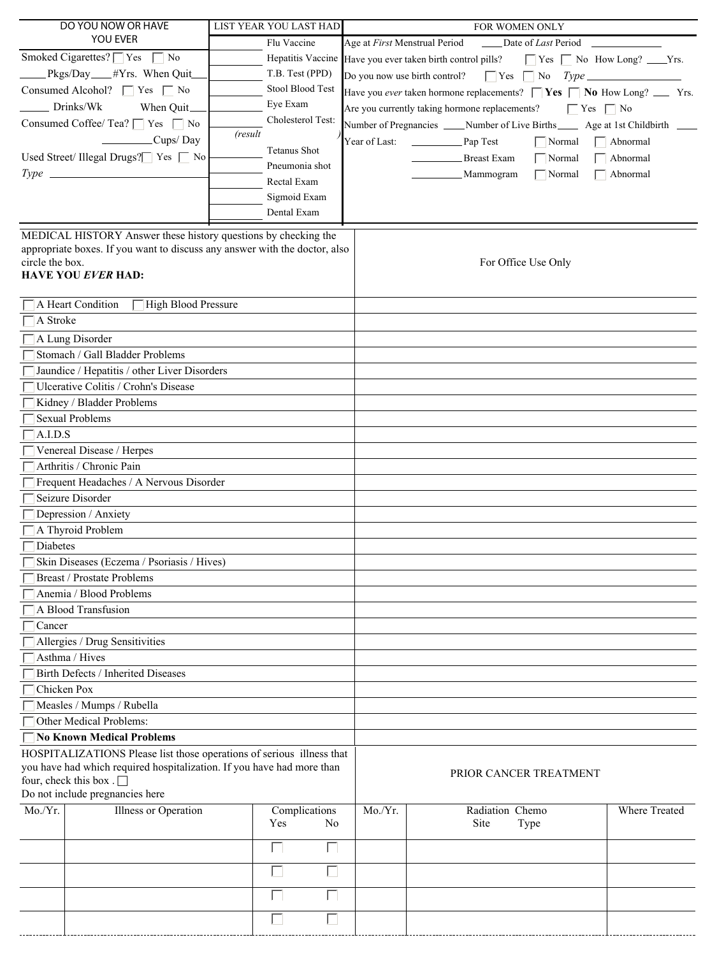| DO YOU NOW OR HAVE                                                                                                                           | LIST YEAR YOU LAST HAD | FOR WOMEN ONLY                |                                                                                     |                                         |  |
|----------------------------------------------------------------------------------------------------------------------------------------------|------------------------|-------------------------------|-------------------------------------------------------------------------------------|-----------------------------------------|--|
| YOU EVER                                                                                                                                     | Flu Vaccine            | Age at First Menstrual Period | Date of Last Period                                                                 |                                         |  |
| Smoked Cigarettes? $\Box$ Yes $\Box$ No                                                                                                      |                        |                               | Hepatitis Vaccine Have you ever taken birth control pills?                          | $\Box$ Yes $\Box$ No How Long? ____Yrs. |  |
| Pkgs/Day <sub>____#Yrs.</sub> When Quit_                                                                                                     | T.B. Test (PPD)        |                               |                                                                                     |                                         |  |
| Consumed Alcohol? $\Box$ Yes $\Box$ No                                                                                                       | Stool Blood Test       |                               | Have you ever taken hormone replacements? $\Box$ Yes $\Box$ No How Long? ___ Yrs.   |                                         |  |
| Drinks/Wk<br>When Quit_                                                                                                                      | Eye Exam               |                               | Are you currently taking hormone replacements? $\Box$ Yes $\Box$ No                 |                                         |  |
| Consumed Coffee/ Tea? $\Box$ Yes $\Box$ No                                                                                                   | Cholesterol Test:      |                               | Number of Pregnancies _____ Number of Live Births______ Age at 1st Childbirth _____ |                                         |  |
| Cups/Day                                                                                                                                     | (result                | Year of Last:                 | Pap Test<br>$\Box$ Normal                                                           |                                         |  |
|                                                                                                                                              | <b>Tetanus Shot</b>    |                               |                                                                                     | $\Box$ Abnormal                         |  |
| Used Street/ Illegal Drugs? $\Box$ Yes $\Box$ No                                                                                             | Pneumonia shot         |                               | $\Box$ Normal<br>Breast Exam                                                        | Abnormal                                |  |
| $Type \_\_$                                                                                                                                  | Rectal Exam            |                               | $\Box$ Normal<br>_Mammogram                                                         | $\overline{\phantom{a}}$ Abnormal       |  |
|                                                                                                                                              | Sigmoid Exam           |                               |                                                                                     |                                         |  |
|                                                                                                                                              | Dental Exam            |                               |                                                                                     |                                         |  |
|                                                                                                                                              |                        |                               |                                                                                     |                                         |  |
| MEDICAL HISTORY Answer these history questions by checking the<br>appropriate boxes. If you want to discuss any answer with the doctor, also |                        |                               |                                                                                     |                                         |  |
| circle the box.                                                                                                                              |                        |                               | For Office Use Only                                                                 |                                         |  |
| <b>HAVE YOU EVER HAD:</b>                                                                                                                    |                        |                               |                                                                                     |                                         |  |
|                                                                                                                                              |                        |                               |                                                                                     |                                         |  |
| A Heart Condition<br><b>High Blood Pressure</b>                                                                                              |                        |                               |                                                                                     |                                         |  |
| A Stroke                                                                                                                                     |                        |                               |                                                                                     |                                         |  |
| A Lung Disorder                                                                                                                              |                        |                               |                                                                                     |                                         |  |
| Stomach / Gall Bladder Problems                                                                                                              |                        |                               |                                                                                     |                                         |  |
| Jaundice / Hepatitis / other Liver Disorders                                                                                                 |                        |                               |                                                                                     |                                         |  |
| Ulcerative Colitis / Crohn's Disease                                                                                                         |                        |                               |                                                                                     |                                         |  |
| Kidney / Bladder Problems                                                                                                                    |                        |                               |                                                                                     |                                         |  |
| <b>Sexual Problems</b>                                                                                                                       |                        |                               |                                                                                     |                                         |  |
| A.I.D.S                                                                                                                                      |                        |                               |                                                                                     |                                         |  |
|                                                                                                                                              |                        |                               |                                                                                     |                                         |  |
| Venereal Disease / Herpes                                                                                                                    |                        |                               |                                                                                     |                                         |  |
| Arthritis / Chronic Pain                                                                                                                     |                        |                               |                                                                                     |                                         |  |
| Frequent Headaches / A Nervous Disorder                                                                                                      |                        |                               |                                                                                     |                                         |  |
| Seizure Disorder                                                                                                                             |                        |                               |                                                                                     |                                         |  |
| Depression / Anxiety                                                                                                                         |                        |                               |                                                                                     |                                         |  |
| A Thyroid Problem                                                                                                                            |                        |                               |                                                                                     |                                         |  |
| <b>Diabetes</b>                                                                                                                              |                        |                               |                                                                                     |                                         |  |
| Skin Diseases (Eczema / Psoriasis / Hives)                                                                                                   |                        |                               |                                                                                     |                                         |  |
| <b>Breast / Prostate Problems</b>                                                                                                            |                        |                               |                                                                                     |                                         |  |
| Anemia / Blood Problems                                                                                                                      |                        |                               |                                                                                     |                                         |  |
| A Blood Transfusion                                                                                                                          |                        |                               |                                                                                     |                                         |  |
| Cancer                                                                                                                                       |                        |                               |                                                                                     |                                         |  |
| Allergies / Drug Sensitivities                                                                                                               |                        |                               |                                                                                     |                                         |  |
| Asthma / Hives                                                                                                                               |                        |                               |                                                                                     |                                         |  |
| Birth Defects / Inherited Diseases                                                                                                           |                        |                               |                                                                                     |                                         |  |
| Chicken Pox                                                                                                                                  |                        |                               |                                                                                     |                                         |  |
| Measles / Mumps / Rubella                                                                                                                    |                        |                               |                                                                                     |                                         |  |
| Other Medical Problems:                                                                                                                      |                        |                               |                                                                                     |                                         |  |
| <b>No Known Medical Problems</b>                                                                                                             |                        |                               |                                                                                     |                                         |  |
| HOSPITALIZATIONS Please list those operations of serious illness that                                                                        |                        |                               |                                                                                     |                                         |  |
| you have had which required hospitalization. If you have had more than                                                                       |                        |                               |                                                                                     |                                         |  |
| four, check this box. $\Box$                                                                                                                 |                        |                               | PRIOR CANCER TREATMENT                                                              |                                         |  |
| Do not include pregnancies here                                                                                                              |                        |                               |                                                                                     |                                         |  |
| Mo./Yr.<br>Illness or Operation                                                                                                              | Complications          | Mo./Yr.                       | Radiation Chemo                                                                     | Where Treated                           |  |
|                                                                                                                                              | Yes<br>N <sub>0</sub>  |                               | Site<br>Type                                                                        |                                         |  |
|                                                                                                                                              | Г                      |                               |                                                                                     |                                         |  |
|                                                                                                                                              |                        |                               |                                                                                     |                                         |  |
|                                                                                                                                              | $\mathbf{L}$           |                               |                                                                                     |                                         |  |
|                                                                                                                                              |                        |                               |                                                                                     |                                         |  |
|                                                                                                                                              |                        |                               |                                                                                     |                                         |  |
|                                                                                                                                              |                        |                               |                                                                                     |                                         |  |